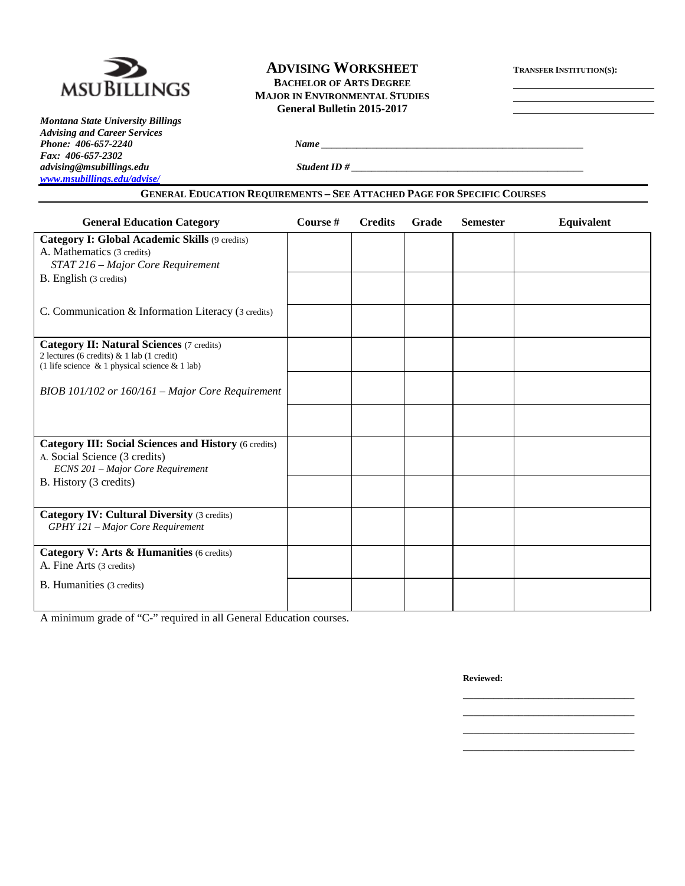

*Montana State University Billings Advising and Career Services Phone: 406-657-2240 Name \_\_\_\_\_\_\_\_\_\_\_\_\_\_\_\_\_\_\_\_\_\_\_\_\_\_\_\_\_\_\_\_\_\_\_\_\_\_\_\_\_\_\_\_\_\_\_\_\_\_\_\_ Fax: 406-657-2302 [www.msubillings.edu/advise/](http://www.msubillings.edu/advise/)*

# **ADVISING WORKSHEET TRANSFER INSTITUTION(S): BACHELOR OF ARTS DEGREE MAJOR IN ENVIRONMENTAL STUDIES General Bulletin 2015-2017**

*advising@msubillings.edu Student ID # \_\_\_\_\_\_\_\_\_\_\_\_\_\_\_\_\_\_\_\_\_\_\_\_\_\_\_\_\_\_\_\_\_\_\_\_\_\_\_\_\_\_\_\_\_\_*

# **GENERAL EDUCATION REQUIREMENTS – SEE ATTACHED PAGE FOR SPECIFIC COURSES**

| <b>General Education Category</b>                                                             | Course # | <b>Credits</b> | Grade | <b>Semester</b> | Equivalent |
|-----------------------------------------------------------------------------------------------|----------|----------------|-------|-----------------|------------|
| Category I: Global Academic Skills (9 credits)                                                |          |                |       |                 |            |
| A. Mathematics (3 credits)                                                                    |          |                |       |                 |            |
| STAT 216 - Major Core Requirement                                                             |          |                |       |                 |            |
| B. English (3 credits)                                                                        |          |                |       |                 |            |
|                                                                                               |          |                |       |                 |            |
| C. Communication & Information Literacy (3 credits)                                           |          |                |       |                 |            |
|                                                                                               |          |                |       |                 |            |
| <b>Category II: Natural Sciences (7 credits)</b>                                              |          |                |       |                 |            |
| 2 lectures (6 credits) & 1 lab (1 credit)<br>(1 life science & 1 physical science & 1 lab)    |          |                |       |                 |            |
|                                                                                               |          |                |       |                 |            |
| BIOB 101/102 or 160/161 - Major Core Requirement                                              |          |                |       |                 |            |
|                                                                                               |          |                |       |                 |            |
|                                                                                               |          |                |       |                 |            |
|                                                                                               |          |                |       |                 |            |
| <b>Category III: Social Sciences and History (6 credits)</b><br>A. Social Science (3 credits) |          |                |       |                 |            |
| ECNS 201 - Major Core Requirement                                                             |          |                |       |                 |            |
| B. History (3 credits)                                                                        |          |                |       |                 |            |
|                                                                                               |          |                |       |                 |            |
| <b>Category IV: Cultural Diversity (3 credits)</b>                                            |          |                |       |                 |            |
| GPHY 121 - Major Core Requirement                                                             |          |                |       |                 |            |
|                                                                                               |          |                |       |                 |            |
| Category V: Arts & Humanities (6 credits)                                                     |          |                |       |                 |            |
| A. Fine Arts (3 credits)                                                                      |          |                |       |                 |            |
| B. Humanities (3 credits)                                                                     |          |                |       |                 |            |
|                                                                                               |          |                |       |                 |            |

A minimum grade of "C-" required in all General Education courses.

**Reviewed:**

\_\_\_\_\_\_\_\_\_\_\_\_\_\_\_\_\_\_\_\_\_\_\_\_\_\_\_\_\_\_\_\_\_\_ \_\_\_\_\_\_\_\_\_\_\_\_\_\_\_\_\_\_\_\_\_\_\_\_\_\_\_\_\_\_\_\_\_\_ \_\_\_\_\_\_\_\_\_\_\_\_\_\_\_\_\_\_\_\_\_\_\_\_\_\_\_\_\_\_\_\_\_\_ \_\_\_\_\_\_\_\_\_\_\_\_\_\_\_\_\_\_\_\_\_\_\_\_\_\_\_\_\_\_\_\_\_\_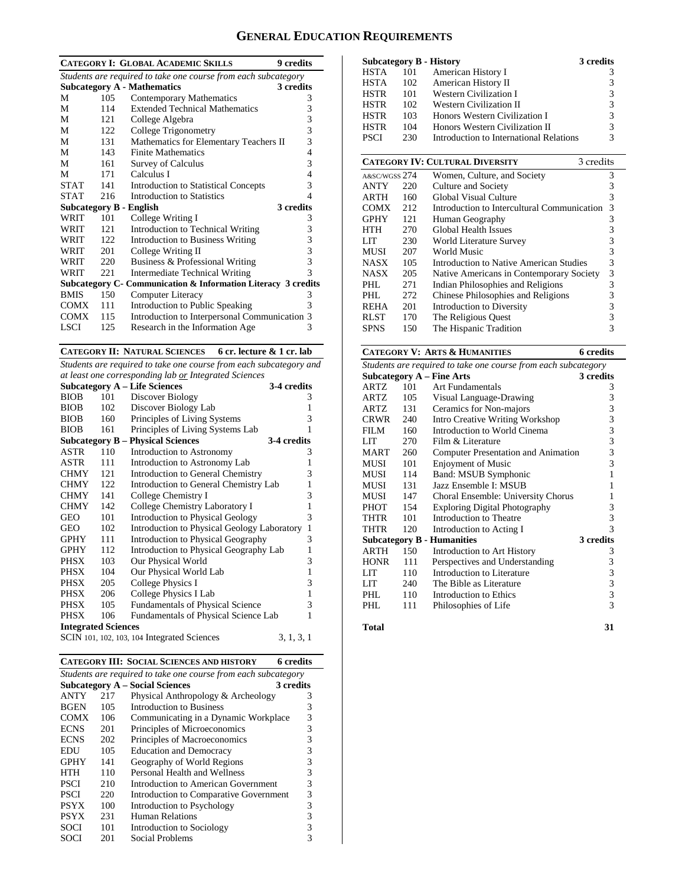# **GENERAL EDUCATION REQUIREMENTS**

| <b>CATEGORY I: GLOBAL ACADEMIC SKILLS</b><br>9 credits |                                                                |                                                                |   |  |  |  |  |
|--------------------------------------------------------|----------------------------------------------------------------|----------------------------------------------------------------|---|--|--|--|--|
|                                                        | Students are required to take one course from each subcategory |                                                                |   |  |  |  |  |
|                                                        |                                                                | <b>Subcategory A - Mathematics</b><br>3 credits                |   |  |  |  |  |
| М                                                      | 105                                                            | <b>Contemporary Mathematics</b>                                | 3 |  |  |  |  |
| М                                                      | 114                                                            | <b>Extended Technical Mathematics</b>                          | 3 |  |  |  |  |
| М                                                      | 121                                                            | College Algebra                                                | 3 |  |  |  |  |
| М                                                      | 122                                                            | College Trigonometry                                           | 3 |  |  |  |  |
| М                                                      | 131                                                            | Mathematics for Elementary Teachers II                         | 3 |  |  |  |  |
| М                                                      | 143                                                            | <b>Finite Mathematics</b>                                      | 4 |  |  |  |  |
| M                                                      | 161                                                            | <b>Survey of Calculus</b>                                      | 3 |  |  |  |  |
| М                                                      | 171                                                            | Calculus I                                                     | 4 |  |  |  |  |
| <b>STAT</b>                                            | 141                                                            | <b>Introduction to Statistical Concepts</b>                    | 3 |  |  |  |  |
| <b>STAT</b>                                            | 216                                                            | Introduction to Statistics                                     | 4 |  |  |  |  |
| Subcategory B - English                                |                                                                | 3 credits                                                      |   |  |  |  |  |
| WRIT                                                   | 101                                                            | College Writing I                                              | 3 |  |  |  |  |
| WRIT                                                   | 12.1                                                           | Introduction to Technical Writing                              | 3 |  |  |  |  |
| WRIT                                                   | 122                                                            | <b>Introduction to Business Writing</b>                        | 3 |  |  |  |  |
| WRIT                                                   | 201                                                            | College Writing II                                             | 3 |  |  |  |  |
| WRIT                                                   | 220                                                            | Business & Professional Writing                                | 3 |  |  |  |  |
| WRIT                                                   | 221                                                            | Intermediate Technical Writing                                 | 3 |  |  |  |  |
|                                                        |                                                                | Subcategory C - Communication & Information Literacy 3 credits |   |  |  |  |  |
| <b>BMIS</b>                                            | 150                                                            | Computer Literacy                                              | 3 |  |  |  |  |
| <b>COMX</b>                                            | 111                                                            | Introduction to Public Speaking                                | 3 |  |  |  |  |
| <b>COMX</b>                                            | 115                                                            | Introduction to Interpersonal Communication 3                  |   |  |  |  |  |
| LSCI                                                   | 125                                                            | Research in the Information Age                                | 3 |  |  |  |  |

**CATEGORY II: NATURAL SCIENCES 6 cr. lecture & 1 cr. lab**

*Students are required to take one course from each subcategory and at least one corresponding lab or Integrated Sciences*

| <b>Subcategory A - Life Sciences</b><br>3-4 credits |     |                                             |              |  |  |  |  |
|-----------------------------------------------------|-----|---------------------------------------------|--------------|--|--|--|--|
| <b>BIOB</b>                                         | 101 | Discover Biology                            | 3            |  |  |  |  |
| <b>BIOB</b>                                         | 102 | Discover Biology Lab                        | 1            |  |  |  |  |
| <b>BIOB</b>                                         | 160 | Principles of Living Systems                | 3            |  |  |  |  |
| <b>BIOB</b>                                         | 161 | Principles of Living Systems Lab            | 1            |  |  |  |  |
|                                                     |     | <b>Subcategory B – Physical Sciences</b>    | 3-4 credits  |  |  |  |  |
| ASTR                                                | 110 | Introduction to Astronomy                   | 3            |  |  |  |  |
| ASTR                                                | 111 | Introduction to Astronomy Lab               | 1            |  |  |  |  |
| <b>CHMY</b>                                         | 121 | Introduction to General Chemistry           | 3            |  |  |  |  |
| <b>CHMY</b>                                         | 122 | Introduction to General Chemistry Lab       | 1            |  |  |  |  |
| <b>CHMY</b>                                         | 141 | College Chemistry I                         | 3            |  |  |  |  |
| <b>CHMY</b>                                         | 142 | College Chemistry Laboratory I              | $\mathbf{1}$ |  |  |  |  |
| GEO                                                 | 101 | <b>Introduction to Physical Geology</b>     | 3            |  |  |  |  |
| GEO                                                 | 102 | Introduction to Physical Geology Laboratory | $\mathbf{1}$ |  |  |  |  |
| GPHY                                                | 111 | Introduction to Physical Geography          | 3            |  |  |  |  |
| <b>GPHY</b>                                         | 112 | Introduction to Physical Geography Lab      | 1            |  |  |  |  |
| PHSX                                                | 103 | Our Physical World                          | 3            |  |  |  |  |
| PHSX                                                | 104 | Our Physical World Lab                      | $\mathbf{1}$ |  |  |  |  |
| PHSX                                                | 205 | <b>College Physics I</b>                    | 3            |  |  |  |  |
| PHSX                                                | 206 | College Physics I Lab                       | 1            |  |  |  |  |
| <b>PHSX</b>                                         | 105 | <b>Fundamentals of Physical Science</b>     | 3            |  |  |  |  |
| <b>PHSX</b>                                         | 106 | Fundamentals of Physical Science Lab        | 1            |  |  |  |  |
| <b>Integrated Sciences</b>                          |     |                                             |              |  |  |  |  |
|                                                     |     | SCIN 101, 102, 103, 104 Integrated Sciences | 3, 1, 3, 1   |  |  |  |  |

| <b>CATEGORY III: SOCIAL SCIENCES AND HISTORY</b><br><b>6</b> credits |                                                                |                                        |   |  |  |  |  |
|----------------------------------------------------------------------|----------------------------------------------------------------|----------------------------------------|---|--|--|--|--|
|                                                                      | Students are required to take one course from each subcategory |                                        |   |  |  |  |  |
| <b>Subcategory A - Social Sciences</b>                               | 3 credits                                                      |                                        |   |  |  |  |  |
| <b>ANTY</b>                                                          | 217                                                            | Physical Anthropology & Archeology     | 3 |  |  |  |  |
| <b>BGEN</b>                                                          | 105                                                            | Introduction to Business               | 3 |  |  |  |  |
| <b>COMX</b>                                                          | 106                                                            | Communicating in a Dynamic Workplace   | 3 |  |  |  |  |
| <b>ECNS</b>                                                          | 201                                                            | Principles of Microeconomics           | 3 |  |  |  |  |
| <b>ECNS</b>                                                          | 202                                                            | Principles of Macroeconomics           | 3 |  |  |  |  |
| EDU                                                                  | 105                                                            | <b>Education and Democracy</b>         | 3 |  |  |  |  |
| <b>GPHY</b>                                                          | 141                                                            | Geography of World Regions             | 3 |  |  |  |  |
| HTH                                                                  | 110                                                            | Personal Health and Wellness           | 3 |  |  |  |  |
| <b>PSCI</b>                                                          | 210                                                            | Introduction to American Government    | 3 |  |  |  |  |
| <b>PSCI</b>                                                          | 220                                                            | Introduction to Comparative Government | 3 |  |  |  |  |
| <b>PSYX</b>                                                          | 100                                                            | Introduction to Psychology             | 3 |  |  |  |  |
| <b>PSYX</b>                                                          | 231                                                            | Human Relations                        | 3 |  |  |  |  |
| <b>SOCI</b>                                                          | 101                                                            | Introduction to Sociology              | 3 |  |  |  |  |
| SOCI                                                                 | 201                                                            | Social Problems                        | 3 |  |  |  |  |

| <b>Subcategory B - History</b> |     |                                         | 3 credits |
|--------------------------------|-----|-----------------------------------------|-----------|
| HSTA                           | 101 | American History I                      | 3         |
| <b>HSTA</b>                    | 102 | American History II                     | 3         |
| <b>HSTR</b>                    | 101 | <b>Western Civilization I</b>           | 3         |
| <b>HSTR</b>                    | 102 | Western Civilization II                 | 3         |
| <b>HSTR</b>                    | 103 | Honors Western Civilization I           | 3         |
| <b>HSTR</b>                    | 104 | Honors Western Civilization II          | 3         |
| <b>PSCI</b>                    | 230 | Introduction to International Relations | 3         |

|               | <b>CATEGORY IV: CULTURAL DIVERSITY</b><br>3 credits |                                             |   |  |  |  |
|---------------|-----------------------------------------------------|---------------------------------------------|---|--|--|--|
| A&SC/WGSS 274 |                                                     | Women, Culture, and Society                 | 3 |  |  |  |
| <b>ANTY</b>   | 220                                                 | Culture and Society                         | 3 |  |  |  |
| ARTH          | 160                                                 | Global Visual Culture                       | 3 |  |  |  |
| <b>COMX</b>   | 212                                                 | Introduction to Intercultural Communication | 3 |  |  |  |
| <b>GPHY</b>   | 121                                                 | Human Geography                             | 3 |  |  |  |
| HTH           | 270                                                 | Global Health Issues                        | 3 |  |  |  |
| LIT           | 230                                                 | World Literature Survey                     | 3 |  |  |  |
| <b>MUSI</b>   | 207                                                 | World Music                                 | 3 |  |  |  |
| <b>NASX</b>   | 105                                                 | Introduction to Native American Studies     | 3 |  |  |  |
| <b>NASX</b>   | 205                                                 | Native Americans in Contemporary Society    | 3 |  |  |  |
| PHL           | 271                                                 | Indian Philosophies and Religions           | 3 |  |  |  |
| PHI.          | 272                                                 | Chinese Philosophies and Religions          | 3 |  |  |  |
| <b>REHA</b>   | 201                                                 | Introduction to Diversity                   | 3 |  |  |  |
| <b>RLST</b>   | 170                                                 | The Religious Quest                         |   |  |  |  |
| <b>SPNS</b>   | 150                                                 | The Hispanic Tradition                      |   |  |  |  |

# **CATEGORY V: ARTS & HUMANITIES 6 credits**

| Students are required to take one course from each subcategory |     |                                        |           |  |  |  |
|----------------------------------------------------------------|-----|----------------------------------------|-----------|--|--|--|
|                                                                |     | <b>Subcategory A - Fine Arts</b>       | 3 credits |  |  |  |
| ARTZ                                                           | 101 | <b>Art Fundamentals</b>                | 3         |  |  |  |
| <b>ARTZ</b>                                                    | 105 | Visual Language-Drawing                | 3         |  |  |  |
| ARTZ                                                           | 131 | Ceramics for Non-majors                | 3         |  |  |  |
| <b>CRWR</b>                                                    | 240 | <b>Intro Creative Writing Workshop</b> | 3         |  |  |  |
| FILM                                                           | 160 | Introduction to World Cinema           | 3         |  |  |  |
| LIT                                                            | 270 | Film & Literature                      | 3         |  |  |  |
| MART                                                           | 260 | Computer Presentation and Animation    | 3         |  |  |  |
| <b>MUSI</b>                                                    | 101 | <b>Enjoyment of Music</b>              | 3         |  |  |  |
| <b>MUSI</b>                                                    | 114 | Band: MSUB Symphonic                   | 1         |  |  |  |
| <b>MUSI</b>                                                    | 131 | Jazz Ensemble I: MSUB                  | 1         |  |  |  |
| <b>MUSI</b>                                                    | 147 | Choral Ensemble: University Chorus     | 1         |  |  |  |
| PHOT                                                           | 154 | <b>Exploring Digital Photography</b>   | 3         |  |  |  |
| <b>THTR</b>                                                    | 101 | Introduction to Theatre                | 3         |  |  |  |
| THTR                                                           | 120 | Introduction to Acting I               | 3         |  |  |  |
|                                                                |     | <b>Subcategory B - Humanities</b>      | 3 credits |  |  |  |
| <b>ARTH</b>                                                    | 150 | Introduction to Art History            | 3         |  |  |  |
| <b>HONR</b>                                                    | 111 | Perspectives and Understanding         | 3         |  |  |  |
| LIT                                                            | 110 | Introduction to Literature             | 3         |  |  |  |
| LIT                                                            | 240 | The Bible as Literature                | 3         |  |  |  |
| PHL                                                            | 110 | Introduction to Ethics                 | 3         |  |  |  |
| PHL                                                            | 111 | Philosophies of Life                   | 3         |  |  |  |
| <b>Total</b>                                                   |     |                                        | 31        |  |  |  |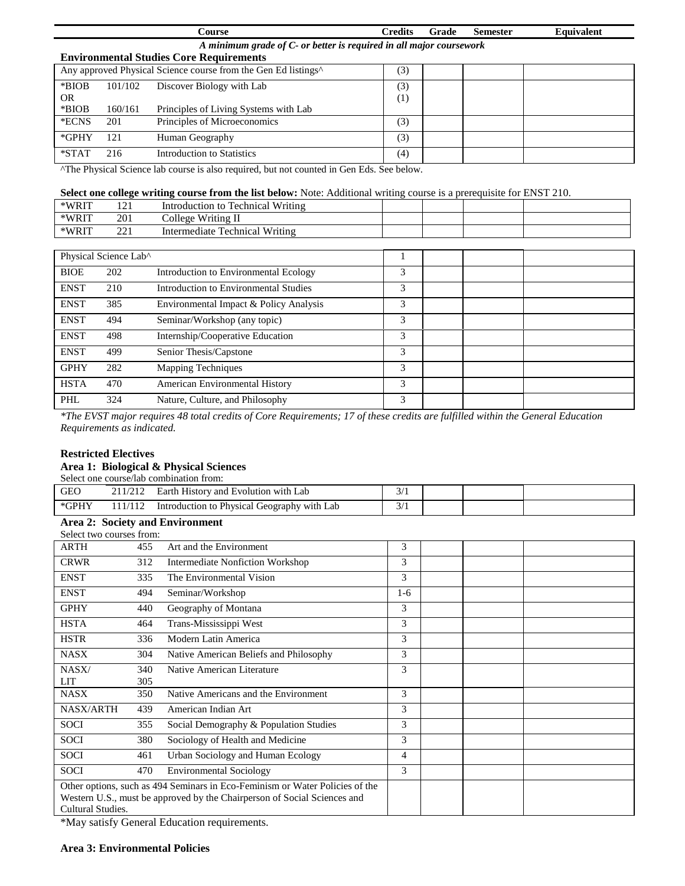|         |                                                                     | <b>Course</b>                                                              | <b>Credits</b> | Grade | <b>Semester</b> | <b>Equivalent</b> |  |  |  |  |
|---------|---------------------------------------------------------------------|----------------------------------------------------------------------------|----------------|-------|-----------------|-------------------|--|--|--|--|
|         | A minimum grade of C- or better is required in all major coursework |                                                                            |                |       |                 |                   |  |  |  |  |
|         | <b>Environmental Studies Core Requirements</b>                      |                                                                            |                |       |                 |                   |  |  |  |  |
|         |                                                                     | Any approved Physical Science course from the Gen Ed listings <sup>^</sup> | (3)            |       |                 |                   |  |  |  |  |
| *BIOB   | 101/102                                                             | Discover Biology with Lab                                                  | 3)             |       |                 |                   |  |  |  |  |
| OR.     |                                                                     |                                                                            | $^{(1)}$       |       |                 |                   |  |  |  |  |
| *BIOB   | 160/161                                                             | Principles of Living Systems with Lab                                      |                |       |                 |                   |  |  |  |  |
| *ECNS   | 201                                                                 | Principles of Microeconomics                                               | (3)            |       |                 |                   |  |  |  |  |
| *GPHY   | 121                                                                 | Human Geography                                                            | (3)            |       |                 |                   |  |  |  |  |
| $*STAT$ | 216                                                                 | <b>Introduction to Statistics</b>                                          | (4)            |       |                 |                   |  |  |  |  |

^The Physical Science lab course is also required, but not counted in Gen Eds. See below.

### **Select one college writing course from the list below:** Note: Additional writing course is a prerequisite for ENST 210.

| *WRIT | $1^{\circ}$<br>1/1 | Writing<br>Technical<br>Introduction to  |  |  |
|-------|--------------------|------------------------------------------|--|--|
| *WRIT | 201                | Writing II<br>$_{\circ}$ ollege $^{V}$   |  |  |
| *WRIT | າາ 1<br>---        | <b>Technical Writing</b><br>Intermediate |  |  |

| Physical Science Lab^ |     |                                        |   |  |  |
|-----------------------|-----|----------------------------------------|---|--|--|
| <b>BIOE</b>           | 202 | Introduction to Environmental Ecology  | 3 |  |  |
| <b>ENST</b>           | 210 | Introduction to Environmental Studies  | 3 |  |  |
| <b>ENST</b>           | 385 | Environmental Impact & Policy Analysis | 3 |  |  |
| <b>ENST</b>           | 494 | Seminar/Workshop (any topic)           | 3 |  |  |
| <b>ENST</b>           | 498 | Internship/Cooperative Education       | 3 |  |  |
| <b>ENST</b>           | 499 | Senior Thesis/Capstone                 | 3 |  |  |
| <b>GPHY</b>           | 282 | <b>Mapping Techniques</b>              | 3 |  |  |
| <b>HSTA</b>           | 470 | American Environmental History         | 3 |  |  |
| PHL                   | 324 | Nature, Culture, and Philosophy        | 3 |  |  |

*\*The EVST major requires 48 total credits of Core Requirements; 17 of these credits are fulfilled within the General Education Requirements as indicated.*

#### **Restricted Electives**

#### **Area 1: Biological & Physical Sciences**

Select one course/lab combination from:

| <b>GEC</b>  | History and Evolution with Lab \,<br>Earth  | $\sim$ $\prime$ |  |  |
|-------------|---------------------------------------------|-----------------|--|--|
| $*$ GPH $*$ | Introduction to Physical Geography with Lab | $\sim$ $\prime$ |  |  |

#### **Area 2: Society and Environment** Select two courses from:

| SEJECI I.WO COUISES ITOIIE |     |                                                                                                                                                          |                |  |  |
|----------------------------|-----|----------------------------------------------------------------------------------------------------------------------------------------------------------|----------------|--|--|
| ARTH                       | 455 | Art and the Environment                                                                                                                                  | 3              |  |  |
| <b>CRWR</b>                | 312 | Intermediate Nonfiction Workshop                                                                                                                         | 3              |  |  |
| <b>ENST</b>                | 335 | The Environmental Vision                                                                                                                                 | 3              |  |  |
| <b>ENST</b>                | 494 | Seminar/Workshop                                                                                                                                         | $1-6$          |  |  |
| <b>GPHY</b>                | 440 | Geography of Montana                                                                                                                                     | 3              |  |  |
| <b>HSTA</b>                | 464 | Trans-Mississippi West                                                                                                                                   | 3              |  |  |
| <b>HSTR</b>                | 336 | Modern Latin America                                                                                                                                     | 3              |  |  |
| <b>NASX</b>                | 304 | Native American Beliefs and Philosophy                                                                                                                   | 3              |  |  |
| NASX/                      | 340 | Native American Literature                                                                                                                               | 3              |  |  |
| <b>LIT</b>                 | 305 |                                                                                                                                                          |                |  |  |
| <b>NASX</b>                | 350 | Native Americans and the Environment                                                                                                                     | 3              |  |  |
| <b>NASX/ARTH</b>           | 439 | American Indian Art                                                                                                                                      | 3              |  |  |
| <b>SOCI</b>                | 355 | Social Demography & Population Studies                                                                                                                   | 3              |  |  |
| <b>SOCI</b>                | 380 | Sociology of Health and Medicine                                                                                                                         | 3              |  |  |
| <b>SOCI</b>                | 461 | Urban Sociology and Human Ecology                                                                                                                        | $\overline{4}$ |  |  |
| SOCI                       | 470 | <b>Environmental Sociology</b>                                                                                                                           | 3              |  |  |
| Cultural Studies.          |     | Other options, such as 494 Seminars in Eco-Feminism or Water Policies of the<br>Western U.S., must be approved by the Chairperson of Social Sciences and |                |  |  |

\*May satisfy General Education requirements.